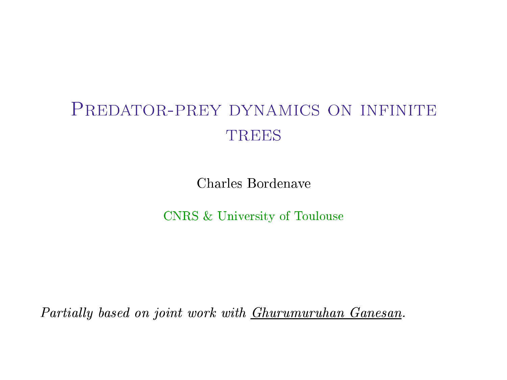# PREDATOR-PREY DYNAMICS ON INFINITE **TREES**

Charles Bordenave

CNRS & University of Toulouse

Partially based on joint work with *Ghurumuruhan Ganesan*.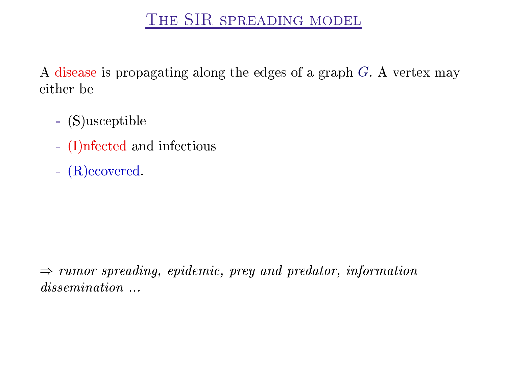A disease is propagating along the edges of a graph G. A vertex may either be

- (S)us
eptible
- (I)nfected and infectious
- $-$  (R) ecovered. - (R)e
overed.

 $\Rightarrow$  rumor spreading, epidemic, prey and predator, information dissemination ...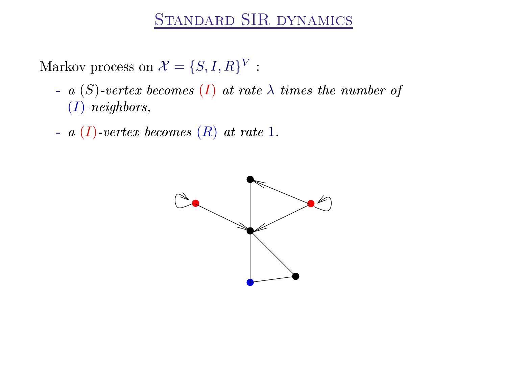Markov process on  $\mathcal{X} = \{S, I, R\}^V$ :

- a  $(S)$ -vertex becomes  $(I)$  at rate  $\lambda$  times the number of  $(I)$ -neighbors,
- a  $(I)$ -vertex becomes  $(R)$  at rate 1.

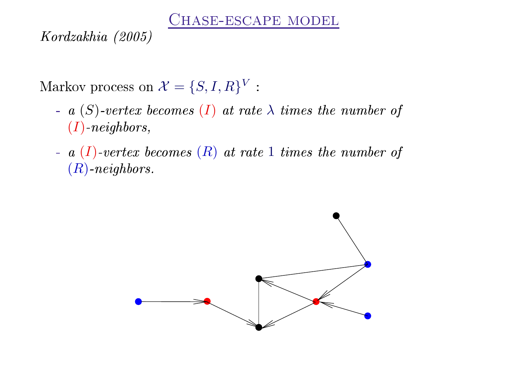CHASE-ESCAPE MODEL

Kordzakhia (2005) Kordzakhia (2005)

Markov process on  $\mathcal{X} = \{S, I, R\}^V$ :

- a  $(S)$ -vertex becomes  $(I)$  at rate  $\lambda$  times the number of  $(I)$ -neighbors,
- a  $(I)$ -vertex becomes  $(R)$  at rate 1 times the number of (R)-neighbors.

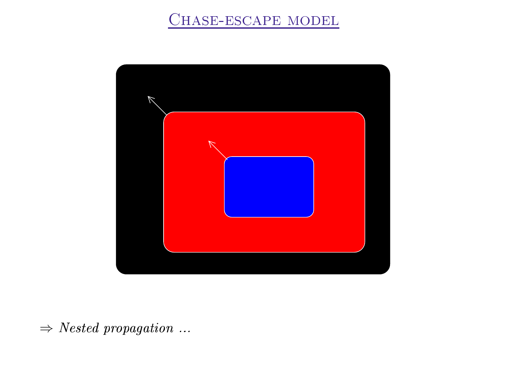## CHASE-ESCAPE MODEL



 $\Rightarrow \, Nested\, \, propagation\, \, \ldots$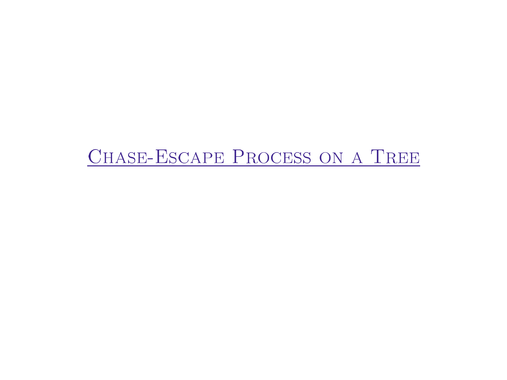# CHASE-ESCAPE PROCESS ON A TREE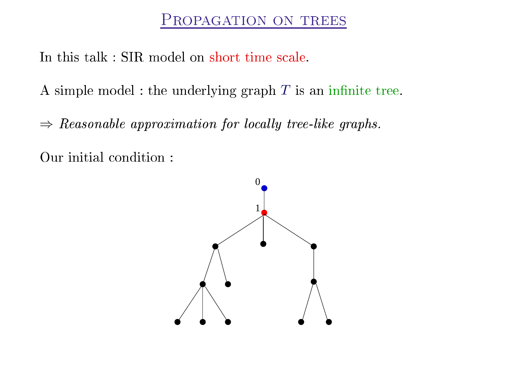In this talk: SIR model on short time scale.

A simple model : the underlying graph  $T$  is an infinite tree.

 $\Rightarrow$  Reasonable approximation for locally tree-like graphs.

Our initial condition:

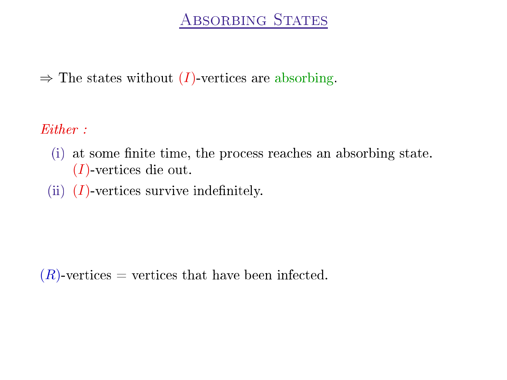$\Rightarrow$  The states without (*I*)-vertices are absorbing.

Either:

- (i) at some finite time, the process reaches an absorbing state. (I)-verti
es die out.
- (ii)  $(I)$ -vertices survive indefinitely.

 $(R)$ -vertices = vertices that have been infected.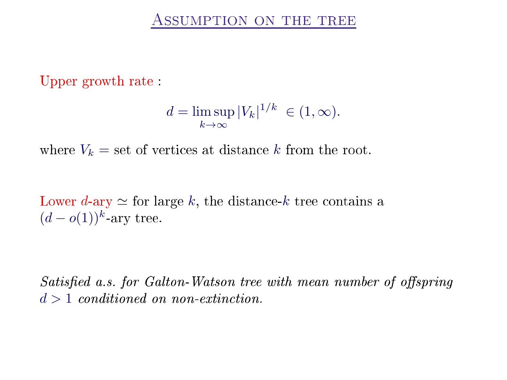Upper growth rate :

$$
d = \limsup_{k \to \infty} |V_k|^{1/k} \in (1, \infty).
$$

where  $V_k =$  set of vertices at distance k from the root.

Lower *d*-ary  $\simeq$  for large *k*, the distance-*k* tree contains a  $(d - o(1))^k$ -ary tree. -ary tree. The contract of the contract of the contract of the contract of the contract of the contract of the

Satisfied a.s. for Galton-Watson tree with mean number of offspring  $d > 1$  conditioned on non-extinction.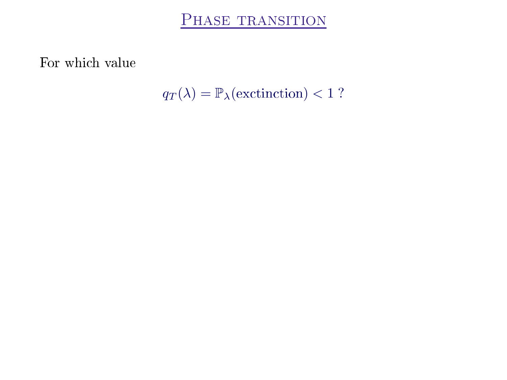PHASE TRANSITION

For which value

 $q_T(\lambda) = \mathbb{P}_{\lambda}(\text{excitinction}) < 1$ ?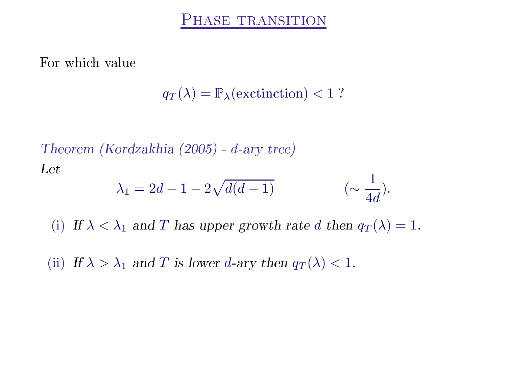For which value

 $q_T(\lambda) = \mathbb{P}_{\lambda}(\text{extinction}) < 1$ ?

Theorem (Kordzakhia (2005) - d-ary tree)  
Let  

$$
\lambda_1 = 2d - 1 - 2\sqrt{d(d-1)} \qquad (\sim \frac{1}{4d}).
$$
  
(i) If  $\lambda < \lambda_1$  and T has upper growth rate d then  $q_T(\lambda) = 1$ .

(ii) If  $\lambda > \lambda_1$  and T is lower d-ary then  $q_T(\lambda) < 1$ .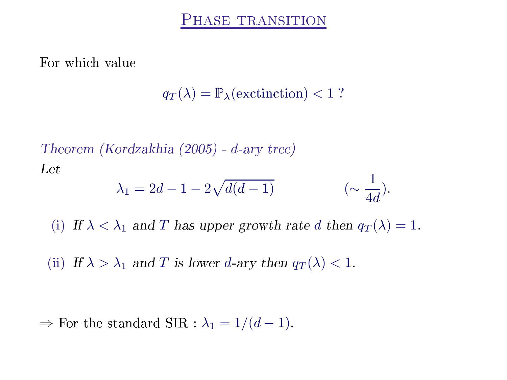For which value

 $q_T(\lambda) = \mathbb{P}_{\lambda}(\text{extinction}) < 1$ ?

Theorem (Kordzakhia (2005) - d-ary tree)  
\nLet  
\n
$$
\lambda_1 = 2d - 1 - 2\sqrt{d(d-1)} \qquad (\sim \frac{1}{4d}).
$$
\n(i) If  $\lambda < \lambda_1$  and *T* has upper growth rate *d* then  $q_T(\lambda) = 1$ .  
\n(ii) If  $\lambda > \lambda_1$  and *T* is lower *d*-ary then  $q_T(\lambda) < 1$ .

 $\Rightarrow$  For the standard SIR :  $\lambda_1 = 1/(d-1)$ .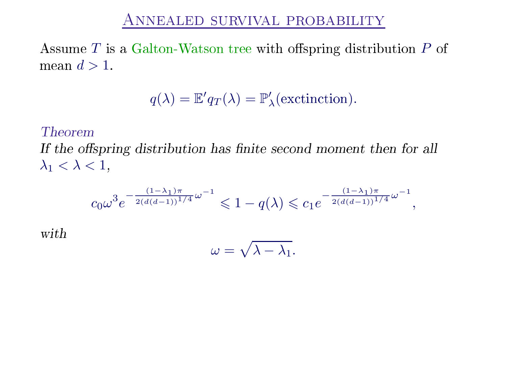## Annealed survival probability

Assume  $T$  is a Galton-Watson tree with offspring distribution  $P$  of mean  $d > 1$ .

$$
q(\lambda) = \mathbb{E}'q_T(\lambda) = \mathbb{P}'_{\lambda}(\text{excitation}).
$$

## **Theorem**

with

If the ospring distribution has nite se
ond moment then for all  $\lambda_1 < \lambda < 1$ ,

$$
c_0\omega^3 e^{-\frac{(1-\lambda_1)\pi}{2(d(d-1))^{1/4}}\omega^{-1}} \leq 1 - q(\lambda) \leq c_1 e^{-\frac{(1-\lambda_1)\pi}{2(d(d-1))^{1/4}}\omega^{-1}},
$$
  

$$
\omega = \sqrt{\lambda - \lambda_1}.
$$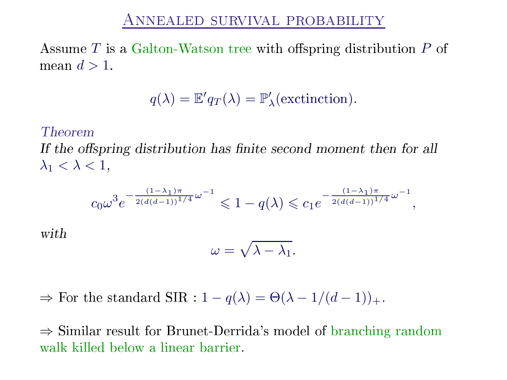Assume  $T$  is a Galton-Watson tree with offspring distribution  $P$  of mean  $d > 1$ .

$$
q(\lambda) = \mathbb{E}'q_T(\lambda) = \mathbb{P}'_{\lambda}(\text{excitation}).
$$

## Theorem

with

If the ospring distribution has nite se
ond moment then for all  $\lambda_1 < \lambda < 1$ ,

$$
c_0\omega^3 e^{-\frac{(1-\lambda_1)\pi}{2(d(d-1))^{1/4}}\omega^{-1}} \leq 1 - q(\lambda) \leq c_1 e^{-\frac{(1-\lambda_1)\pi}{2(d(d-1))^{1/4}}\omega^{-1}},
$$
  

$$
\omega = \sqrt{\lambda - \lambda_1}.
$$

 $\Rightarrow$  For the standard SIR :  $1 - q(\lambda) = \Theta(\lambda - 1/(d-1))_+$ .

⇒ Similar result for Brunet-Derrida's model of branching random<br>walk killed below a linear barrier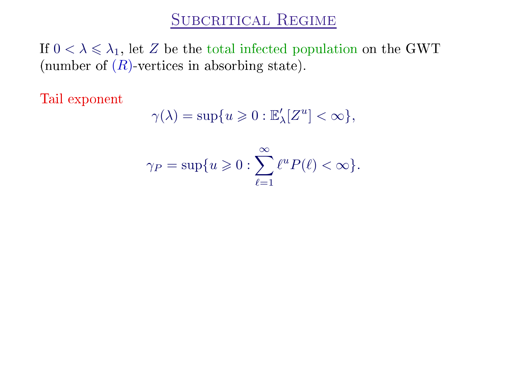If  $0 < \lambda \leq \lambda_1$ , let Z be the total infected population on the GWT (number of  $(R)$ -vertices in absorbing state).

Tail exponent

$$
\gamma(\lambda) = \sup\{u \geq 0 : \mathbb{E}'_{\lambda}[Z^u] < \infty\},\
$$

$$
\gamma_P = \sup \{ u \geqslant 0 : \sum_{\ell=1}^{\infty} \ell^u P(\ell) < \infty \}.
$$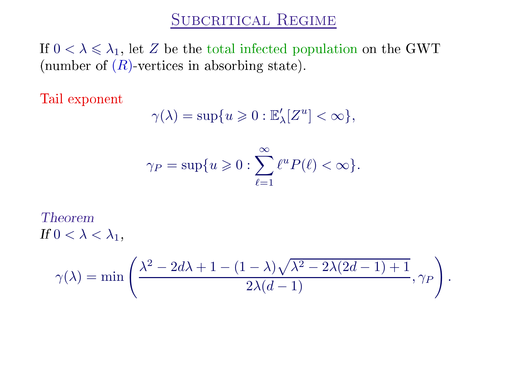If  $0 < \lambda \leq \lambda_1$ , let Z be the total infected population on the GWT (number of  $(R)$ -vertices in absorbing state).

Tail exponent

$$
\gamma(\lambda) = \sup\{u \geq 0 : \mathbb{E}'_{\lambda}[Z^u] < \infty\},\
$$

$$
\gamma_P = \sup \{ u \geqslant 0 : \sum_{\ell=1}^{\infty} \ell^u P(\ell) < \infty \}.
$$

**Theorem** If  $0 < \lambda < \lambda_1$ ,

$$
\gamma(\lambda) = \min\left(\frac{\lambda^2 - 2d\lambda + 1 - (1 - \lambda)\sqrt{\lambda^2 - 2\lambda(2d - 1) + 1}}{2\lambda(d - 1)}, \gamma_P\right).
$$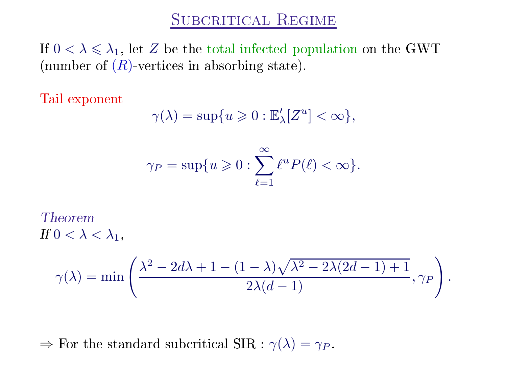If  $0 < \lambda \leq \lambda_1$ , let Z be the total infected population on the GWT (number of  $(R)$  vertices in absorbing state).

Tail exponent

$$
\gamma(\lambda) = \sup\{u \geq 0 : \mathbb{E}'_{\lambda}[Z^u] < \infty\},\
$$

$$
\gamma_P = \sup \{ u \geqslant 0 : \sum_{\ell=1}^{\infty} \ell^u P(\ell) < \infty \}.
$$

**Theorem** If  $0 < \lambda < \lambda_1$ ,

$$
\gamma(\lambda) = \min\left(\frac{\lambda^2 - 2d\lambda + 1 - (1 - \lambda)\sqrt{\lambda^2 - 2\lambda(2d - 1) + 1}}{2\lambda(d - 1)}, \gamma_P\right).
$$

 $\Rightarrow$  For the standard subcritical SIR :  $\gamma(\lambda) = \gamma_P$ .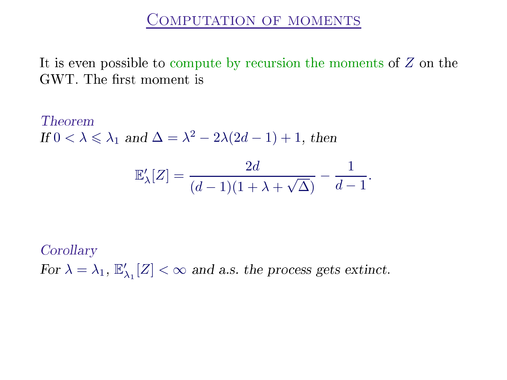It is even possible to compute by recursion the moments of  $Z$  on the GWT. The first moment is

Theorem If  $0 < \lambda \leq \lambda_1$  and  $\Delta = \lambda^2 - 2\lambda(2d - 1) + 1$ , then

$$
\mathbb{E}_{\lambda}'[Z] = \frac{2d}{(d-1)(1+\lambda+\sqrt{\Delta})} - \frac{1}{d-1}.
$$

Corollary For  $\lambda = \lambda_1, \mathbb{E}'_2$  $\chi'_{\lambda_1}[Z] < \infty$  and a.s. the process gets extinct.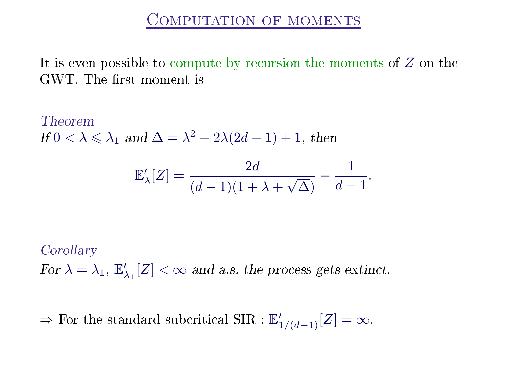It is even possible to compute by recursion the moments of  $Z$  on the GWT. The first moment is

Theorem If  $0 < \lambda \leq \lambda_1$  and  $\Delta = \lambda^2 - 2\lambda(2d - 1) + 1$ , then

$$
\mathbb{E}_{\lambda}'[Z] = \frac{2d}{(d-1)(1+\lambda+\sqrt{\Delta})} - \frac{1}{d-1}.
$$

Corollary For  $\lambda = \lambda_1, \mathbb{E}'_2$  $\chi'_{\lambda_1}[Z] < \infty$  and a.s. the process gets extinct.

 $\Rightarrow$  For the standard subcritical SIR :  $\mathbb{E}'_{1/(d-1)}[Z] = \infty$ .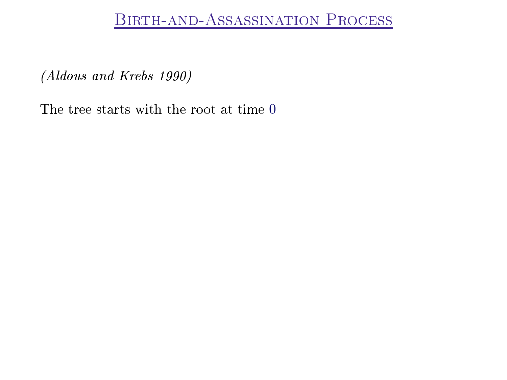(Aldous and Krebs 1990)

The tree starts with the root at time 0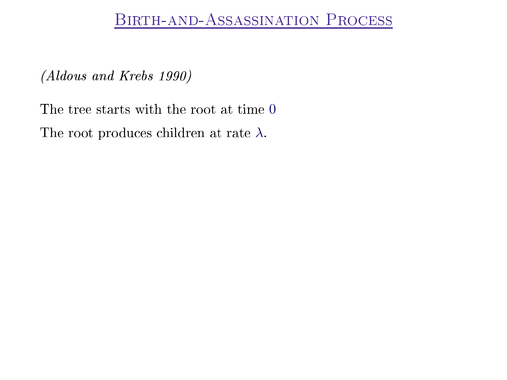(Aldous and Krebs 1990)

The tree starts with the root at time 0 The root produces children at rate  $\lambda$ .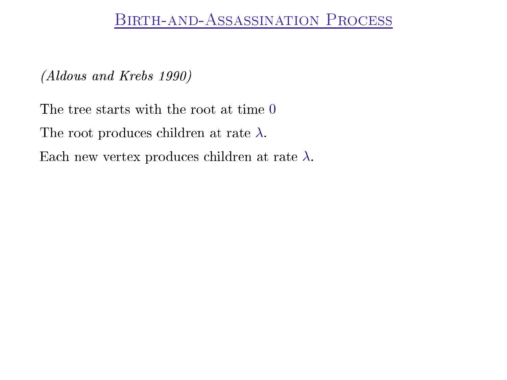(Aldous and Krebs 1990)

The tree starts with the root at time 0 The root produces children at rate  $\lambda$ . Each new vertex produces children at rate  $\lambda$ .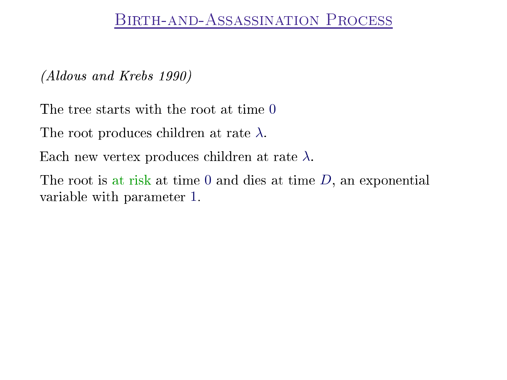(Aldous and Krebs 1990)

The tree starts with the root at time 0

The root produces children at rate  $\lambda$ .

Each new vertex produces children at rate  $\lambda$ .

The root is at risk at time 0 and dies at time  $D$ , an exponential variable with parameter 1.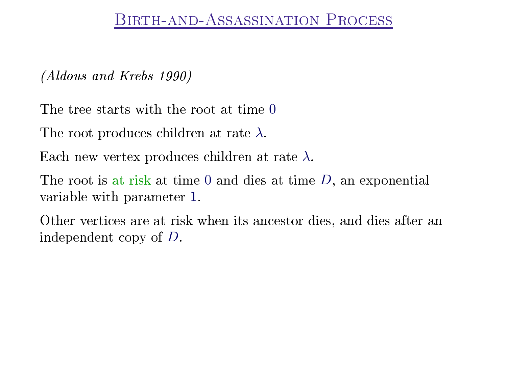(Aldous and Krebs 1990)

The tree starts with the root at time 0

The root produces children at rate  $\lambda$ .

Each new vertex produces children at rate  $\lambda$ .

The root is at risk at time 0 and dies at time  $D$ , an exponential variable with parameter 1.

Other verti
es are at risk when its an
estor dies, and dies after an independent opy of D.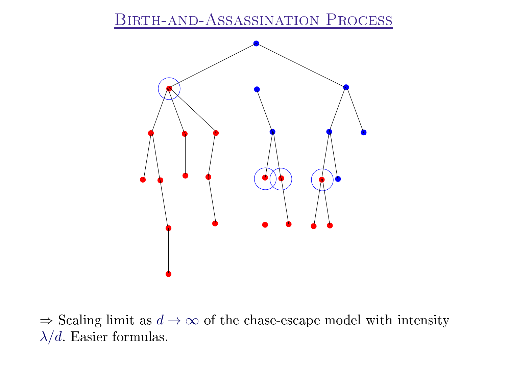

 $\Rightarrow$  Scaling limit as  $d \rightarrow \infty$  of the chase-escape model with intensity  $\lambda/d$ . Easier formulas.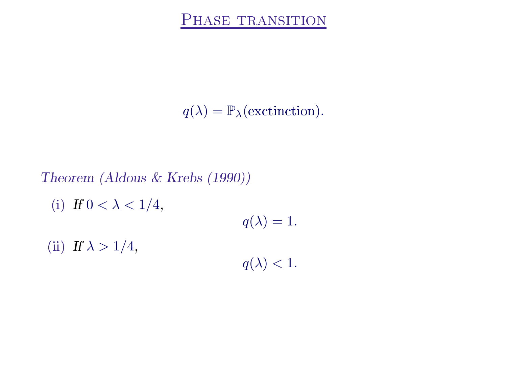$q(\lambda) = \mathbb{P}_{\lambda}(\text{extinction}).$ 

# Theorem (Aldous & Krebs (1990)) (i) If  $0 < \lambda < 1/4$ ,  $q(\lambda) = 1.$ (ii) If  $\lambda > 1/4$ ,  $q(\lambda) < 1$ .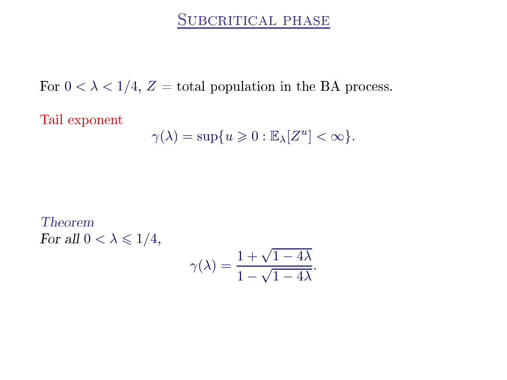## SUBCRITICAL PHASE

For  $0 < \lambda < 1/4$ ,  $Z =$  total population in the BA process.

Tail exponent

$$
\gamma(\lambda)=\sup\{u\geqslant 0:\mathbb{E}_{\lambda}[Z^u]<\infty\}.
$$

**Theorem** For all  $0 < \lambda \leqslant 1/4$ ,

$$
\gamma(\lambda) = \frac{1 + \sqrt{1 - 4\lambda}}{1 - \sqrt{1 - 4\lambda}}.
$$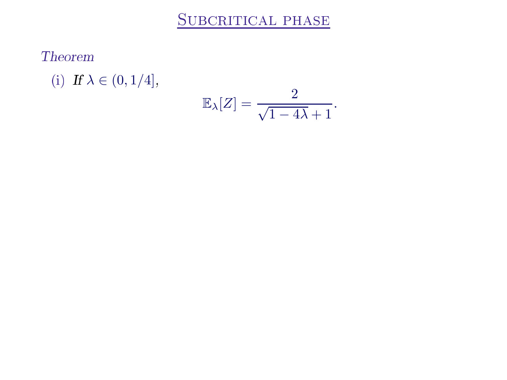## SUBCRITICAL PHASE

Theorem

(i) If  $\lambda \in (0, 1/4]$ ,

$$
\mathbb{E}_{\lambda}[Z] = \frac{2}{\sqrt{1 - 4\lambda} + 1}.
$$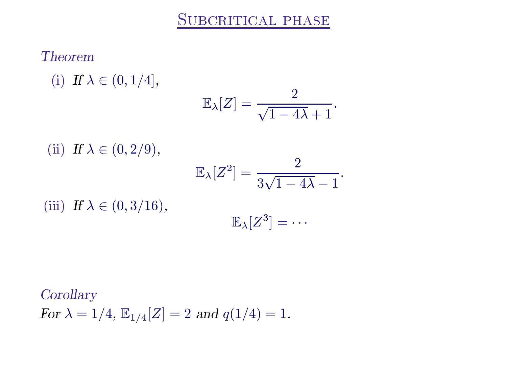## **Theorem**

(i) If  $\lambda \in (0, 1/4]$ ,  $\mathbb{E}_{\lambda}[Z] = \frac{2}{\sqrt{1-4\lambda}+1}.$ (ii) If  $\lambda \in (0, 2/9)$ ,  $\mathbb{E}_{\lambda}[Z^2] = \frac{2}{2\sqrt{1-\lambda}}$ √  $\overline{1}$ .

(iii) If  $\lambda \in (0, 3/16)$ ,

$$
[2] = \frac{1}{3\sqrt{1 - 4\lambda}} - 1
$$

$$
\mathbb{E}_{\lambda}[Z^3] = \cdots
$$

Corollary For  $\lambda = 1/4$ ,  $\mathbb{E}_{1/4}[Z] = 2$  and  $q(1/4) = 1$ .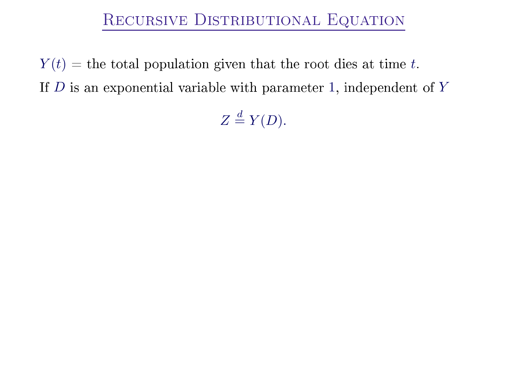## Re
ursive Distributional Equation

 $Y(t)$  = the total population given that the root dies at time t. If  $D$  is an exponential variable with parameter 1, independent of  $Y$ 

 $Z \stackrel{d}{=} Y(D).$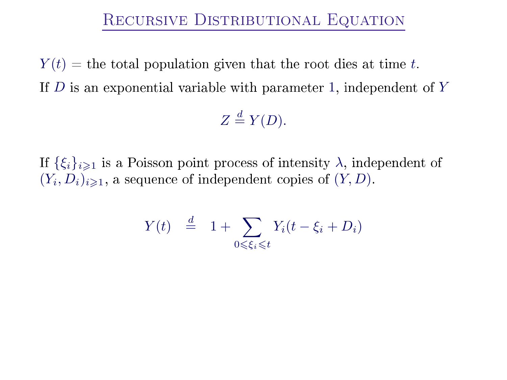## Re
ursive Distributional Equation

 $Y(t)$  = the total population given that the root dies at time t. If  $D$  is an exponential variable with parameter 1, independent of  $Y$ 

 $Z \stackrel{d}{=} Y(D).$ 

If  $\{\xi_i\}_{i\geq 1}$  is a Poisson point process of intensity  $\lambda$ , independent of  $(Y_i, D_i)_{i \geqslant 1}$ , a sequence of independent copies of  $(Y, D)$ .

$$
Y(t) \stackrel{d}{=} 1 + \sum_{0 \le \xi_i \le t} Y_i(t - \xi_i + D_i)
$$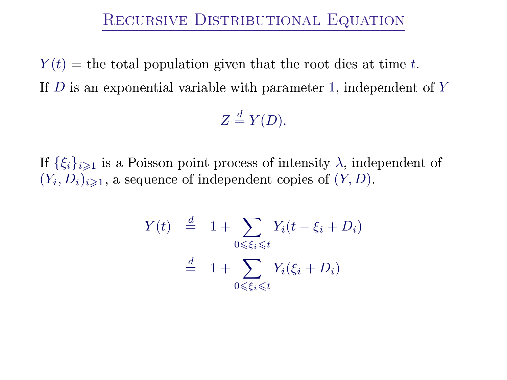## RECURSIVE DISTRIBUTIONAL EQUATION

 $Y(t)$  = the total population given that the root dies at time t. If  $D$  is an exponential variable with parameter 1, independent of  $Y$ 

 $Z \stackrel{d}{=} Y(D)$ .

If  $\{\xi_i\}_{i\geq 1}$  is a Poisson point process of intensity  $\lambda$ , independent of  $(Y_i, D_i)_{i \geq 1}$ , a sequence of independent copies of  $(Y, D)$ .

$$
Y(t) \stackrel{d}{=} 1 + \sum_{0 \le \xi_i \le t} Y_i(t - \xi_i + D_i)
$$

$$
\stackrel{d}{=} 1 + \sum_{0 \le \xi_i \le t} Y_i(\xi_i + D_i)
$$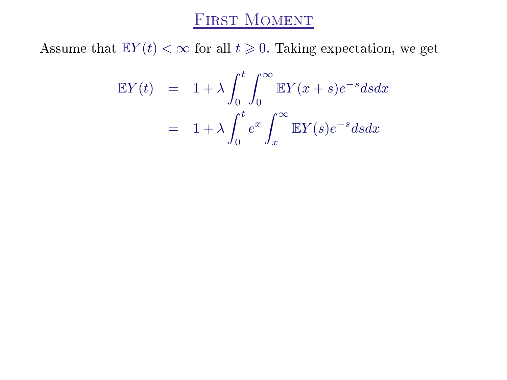## FIRST MOMENT

Assume that  $\mathbb{E}Y(t) < \infty$  for all  $t \geq 0$ . Taking expectation, we get

$$
\mathbb{E}Y(t) = 1 + \lambda \int_0^t \int_0^\infty \mathbb{E}Y(x+s)e^{-s}dsdx
$$

$$
= 1 + \lambda \int_0^t e^x \int_x^\infty \mathbb{E}Y(s)e^{-s}dsdx
$$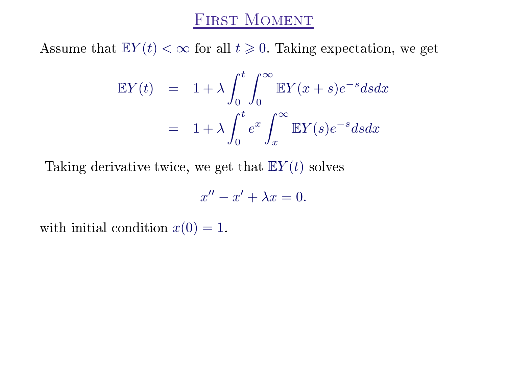Assume that  $\mathbb{E}Y(t) < \infty$  for all  $t \geq 0$ . Taking expectation, we get

$$
\mathbb{E}Y(t) = 1 + \lambda \int_0^t \int_0^\infty \mathbb{E}Y(x+s)e^{-s}dsdx
$$

$$
= 1 + \lambda \int_0^t e^x \int_x^\infty \mathbb{E}Y(s)e^{-s}dsdx
$$

Taking derivative twice, we get that  $E(Y(t))$  solves

$$
x'' - x' + \lambda x = 0.
$$

with initial condition  $x(0) = 1$ .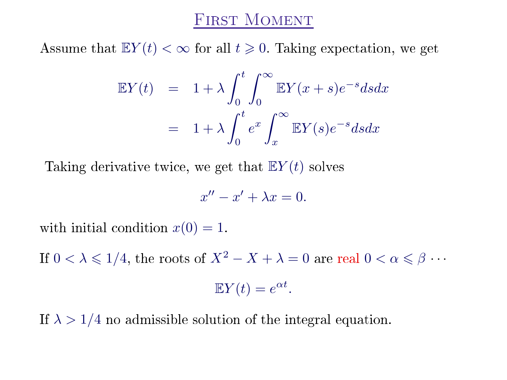## **FIRST MOMENT**

Assume that  $\mathbb{E}Y(t) < \infty$  for all  $t \geq 0$ . Taking expectation, we get

$$
\mathbb{E}Y(t) = 1 + \lambda \int_0^t \int_0^\infty \mathbb{E}Y(x+s)e^{-s}dsdx
$$

$$
= 1 + \lambda \int_0^t e^x \int_x^\infty \mathbb{E}Y(s)e^{-s}dsdx
$$

Taking derivative twice, we get that  $E(Y(t))$  solves

$$
x'' - x' + \lambda x = 0.
$$

with initial condition  $x(0) = 1$ .

If  $0 < \lambda \leq 1/4$ , the roots of  $X^2 - X + \lambda = 0$  are real  $0 < \alpha \leq \beta \cdots$ 

$$
\mathbb{E}Y(t) = e^{\alpha t}.
$$

If  $\lambda > 1/4$  no admissible solution of the integral equation.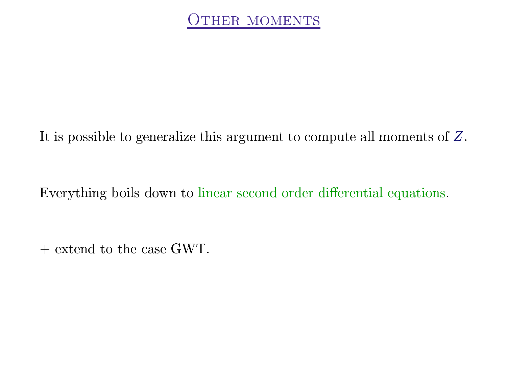It is possible to generalize this argument to compute all moments of Z.

Everything boils down to linear se
ond order dierential equations.

 $+$  extend to the case GWT.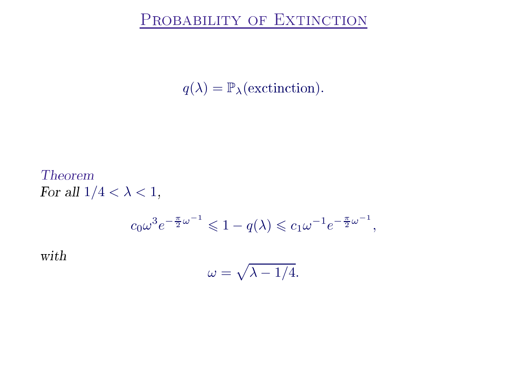$q(\lambda) = \mathbb{P}_{\lambda}(\text{extinction}).$ 

**Theorem** For all  $1/4 < \lambda < 1$ ,  $c_0 \omega^3 e^{-\frac{\pi}{2} \omega^{-1}} \leq 1 - q(\lambda) \leq c_1 \omega^{-1} e^{-\frac{\pi}{2} \omega^{-1}},$ with

$$
\omega = \sqrt{\lambda - 1/4}.
$$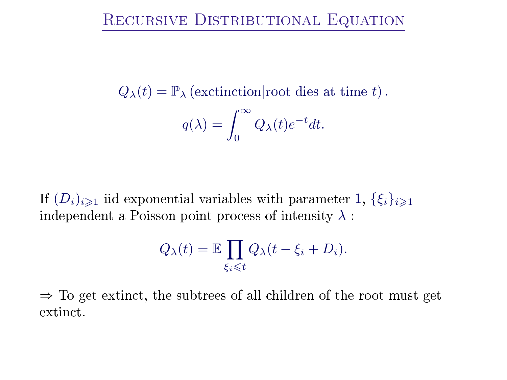## Re
ursive Distributional Equation

 $Q_{\lambda}(t) = \mathbb{P}_{\lambda}$  (exctinction root dies at time t).

$$
q(\lambda) = \int_0^\infty Q_\lambda(t)e^{-t}dt.
$$

If  $(D_i)_{i\geq 1}$  iid exponential variables with parameter 1,  $\{\xi_i\}_{i\geq 1}$ independent a Poisson point process of intensity  $\lambda$ :

$$
Q_{\lambda}(t) = \mathbb{E} \prod_{\xi_i \leq t} Q_{\lambda}(t - \xi_i + D_i).
$$

 $\Rightarrow$  To get extinct, the subtrees of all children of the root must get extinct.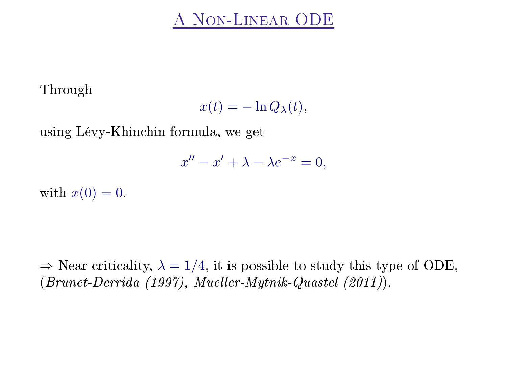The contract of the contract of the contract of the contract of the contract of the contract of the contract of

$$
x(t) = -\ln Q_{\lambda}(t),
$$

using Lévy-Khin
hin formula, we get

 $x'' - x' + \lambda - \lambda e^{-x} = 0,$ 

with  $x(0) = 0$ .

 $\Rightarrow$  Near criticality,  $\lambda = 1/4$ , it is possible to study this type of ODE,  $(Brunet-Derrida (1997), \; Mueller-Mytnik-Quastel (2011)).$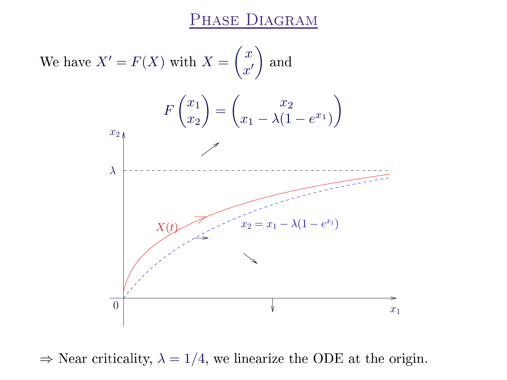

 $\Rightarrow$  Near criticality,  $\lambda = 1/4$ , we linearize the ODE at the origin.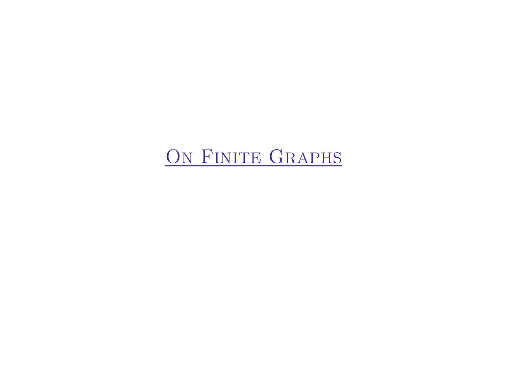# ON FINITE GRAPHS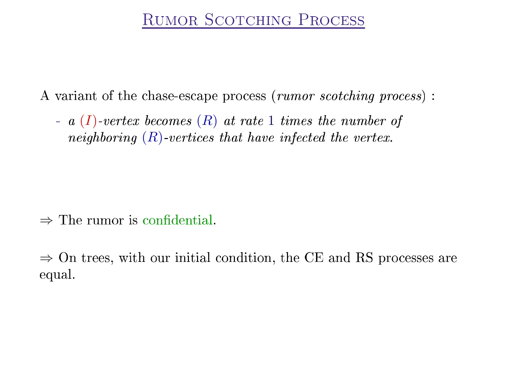A variant of the chase-escape process (rumor scotching process):

- a  $(I)$ -vertex becomes  $(R)$  at rate 1 times the number of neighboring  $(R)$  vertices that have infected the vertex.

 $\Rightarrow$  The rumor is confidential.

 $\Rightarrow$  On trees, with our initial condition, the CE and RS processes are equal.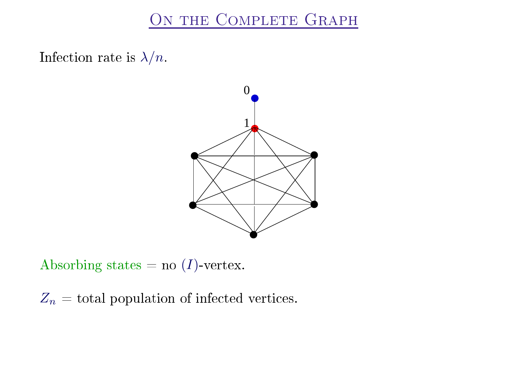## ON THE COMPLETE GRAPH

Infection rate is  $\lambda/n$ .



Absorbing states = no  $(I)$ -vertex.

 $Z_n =$  total population of infected vertices.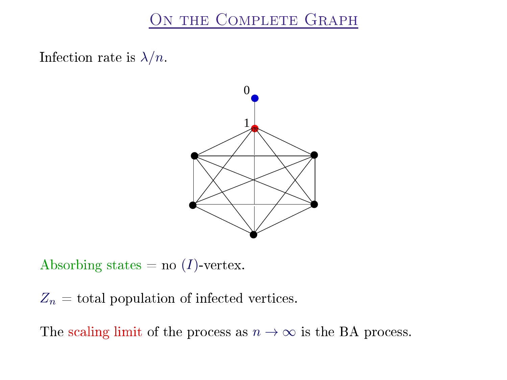## ON THE COMPLETE GRAPH

Infection rate is  $\lambda/n$ .



Absorbing states = no  $(I)$ -vertex.

 $Z_n =$  total population of infected vertices.

The scaling limit of the process as  $n \to \infty$  is the BA process.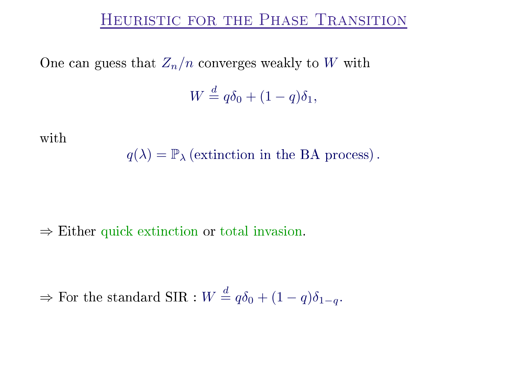One can guess that  $Z_n/n$  converges weakly to W with

 $W \stackrel{d}{=} q\delta_0 + (1-q)\delta_1,$ 

with

$$
q(\lambda) = \mathbb{P}_{\lambda}
$$
 (extinction in the BA process).

 $\Rightarrow$  Either quick extinction or total invasion.

 $\Rightarrow$  For the standard SIR :  $W \stackrel{d}{=} q\delta_0 + (1-q)\delta_{1-q}$ .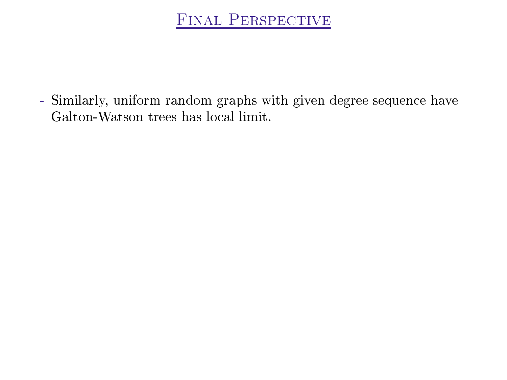**FINAL PERSPECTIVE** 

- Similarly, uniform random graphs with given degree sequence have Galton-Watson trees has local limit.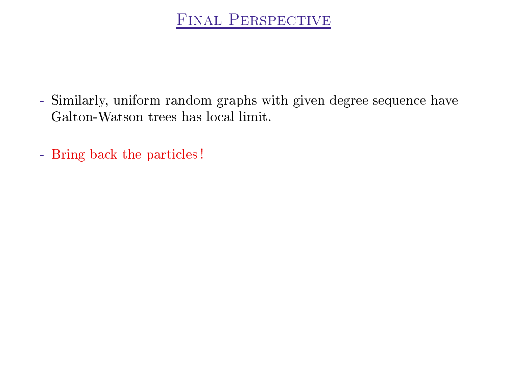- Similarly, uniform random graphs with given degree sequence have Galton-Watson trees has local limit.
- Bring back the particles!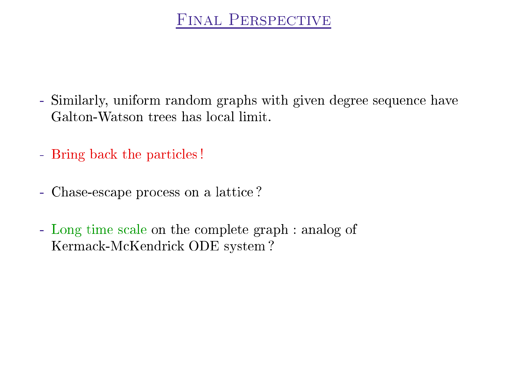- Similarly, uniform random graphs with given degree sequence have Galton-Watson trees has local limit.
- Bring back the particles!
- Chase-escape process on a lattice?
- Long time scale on the complete graph : analog of Kermack-McKendrick ODE system?